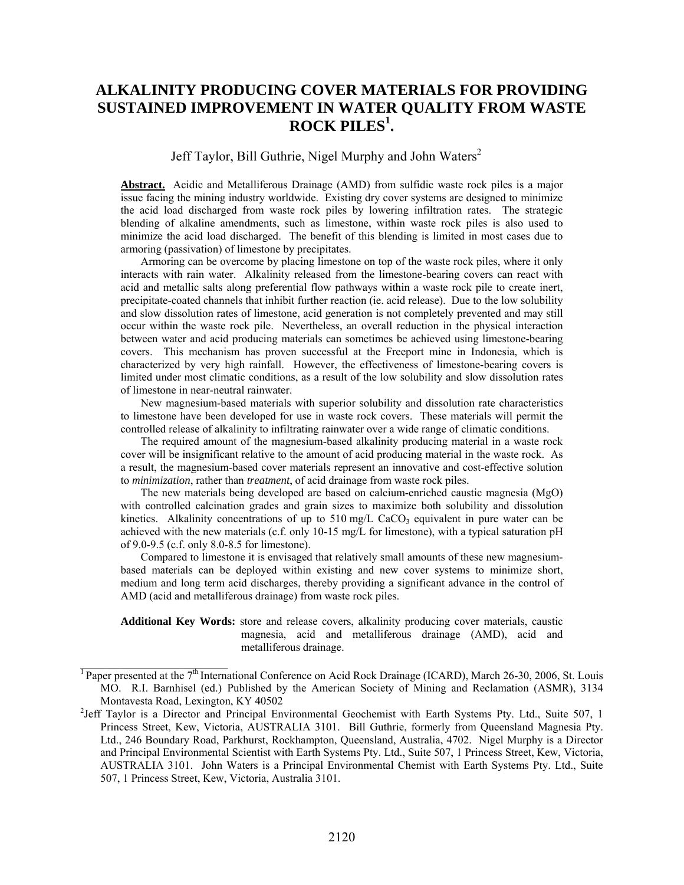# **ALKALINITY PRODUCING COVER MATERIALS FOR PROVIDING SUSTAINED IMPROVEMENT IN WATER QUALITY FROM WASTE ROCK PILES<sup>1</sup> .**

# Jeff Taylor, Bill Guthrie, Nigel Murphy and John Waters<sup>2</sup>

Abstract. Acidic and Metalliferous Drainage (AMD) from sulfidic waste rock piles is a major issue facing the mining industry worldwide. Existing dry cover systems are designed to minimize the acid load discharged from waste rock piles by lowering infiltration rates. The strategic blending of alkaline amendments, such as limestone, within waste rock piles is also used to minimize the acid load discharged. The benefit of this blending is limited in most cases due to armoring (passivation) of limestone by precipitates.

Armoring can be overcome by placing limestone on top of the waste rock piles, where it only interacts with rain water. Alkalinity released from the limestone-bearing covers can react with acid and metallic salts along preferential flow pathways within a waste rock pile to create inert, precipitate-coated channels that inhibit further reaction (ie. acid release). Due to the low solubility and slow dissolution rates of limestone, acid generation is not completely prevented and may still occur within the waste rock pile. Nevertheless, an overall reduction in the physical interaction between water and acid producing materials can sometimes be achieved using limestone-bearing covers. This mechanism has proven successful at the Freeport mine in Indonesia, which is characterized by very high rainfall. However, the effectiveness of limestone-bearing covers is limited under most climatic conditions, as a result of the low solubility and slow dissolution rates of limestone in near-neutral rainwater.

New magnesium-based materials with superior solubility and dissolution rate characteristics to limestone have been developed for use in waste rock covers. These materials will permit the controlled release of alkalinity to infiltrating rainwater over a wide range of climatic conditions.

The required amount of the magnesium-based alkalinity producing material in a waste rock cover will be insignificant relative to the amount of acid producing material in the waste rock. As a result, the magnesium-based cover materials represent an innovative and cost-effective solution to *minimization*, rather than *treatment*, of acid drainage from waste rock piles.

The new materials being developed are based on calcium-enriched caustic magnesia (MgO) with controlled calcination grades and grain sizes to maximize both solubility and dissolution kinetics. Alkalinity concentrations of up to 510 mg/L CaCO<sub>3</sub> equivalent in pure water can be achieved with the new materials (c.f. only 10-15 mg/L for limestone), with a typical saturation pH of 9.0-9.5 (c.f. only 8.0-8.5 for limestone).

Compared to limestone it is envisaged that relatively small amounts of these new magnesiumbased materials can be deployed within existing and new cover systems to minimize short, medium and long term acid discharges, thereby providing a significant advance in the control of AMD (acid and metalliferous drainage) from waste rock piles.

**Additional Key Words:** store and release covers, alkalinity producing cover materials, caustic magnesia, acid and metalliferous drainage (AMD), acid and metalliferous drainage.

 $\mathcal{L}_\text{max}$  , where  $\mathcal{L}_\text{max}$  , we have the set of  $\mathcal{L}_\text{max}$ 

<sup>&</sup>lt;sup>1</sup> Paper presented at the 7<sup>th</sup> International Conference on Acid Rock Drainage (ICARD), March 26-30, 2006, St. Louis MO. R.I. Barnhisel (ed.) Published by the American Society of Mining and Reclamation (ASMR), 3134 Montavesta Road, Lexington, KY 40502

<sup>&</sup>lt;sup>2</sup>Jeff Taylor is a Director and Principal Environmental Geochemist with Earth Systems Pty. Ltd., Suite 507, 1 Princess Street, Kew, Victoria, AUSTRALIA 3101. Bill Guthrie, formerly from Queensland Magnesia Pty. Ltd., 246 Boundary Road, Parkhurst, Rockhampton, Queensland, Australia, 4702. Nigel Murphy is a Director and Principal Environmental Scientist with Earth Systems Pty. Ltd., Suite 507, 1 Princess Street, Kew, Victoria, AUSTRALIA 3101. John Waters is a Principal Environmental Chemist with Earth Systems Pty. Ltd., Suite 507, 1 Princess Street, Kew, Victoria, Australia 3101.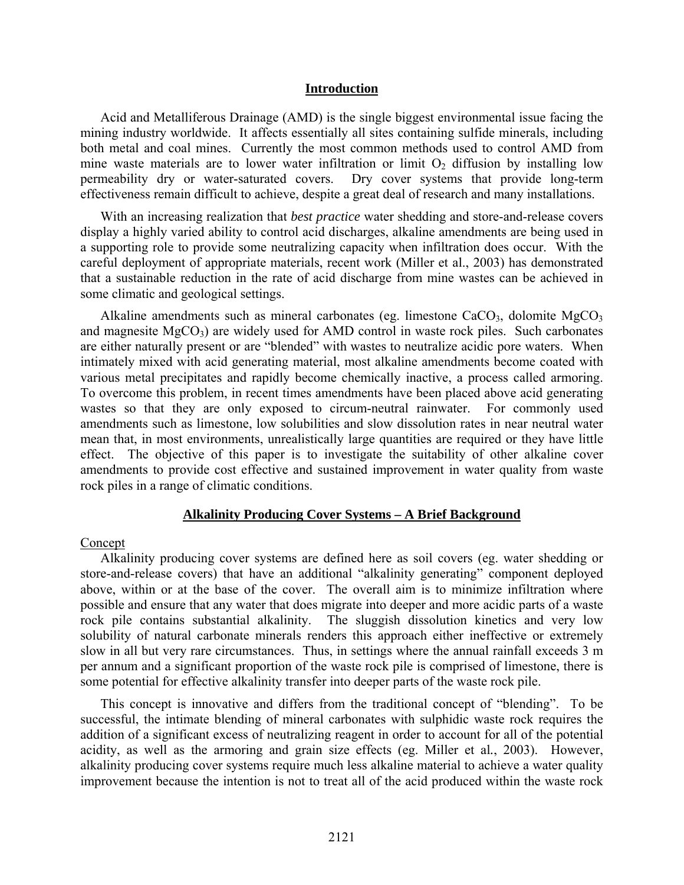#### **Introduction**

Acid and Metalliferous Drainage (AMD) is the single biggest environmental issue facing the mining industry worldwide. It affects essentially all sites containing sulfide minerals, including both metal and coal mines. Currently the most common methods used to control AMD from mine waste materials are to lower water infiltration or limit  $O_2$  diffusion by installing low<br>permeability dry or water-saturated covers. Dry cover systems that provide long-term Dry cover systems that provide long-term effectiveness remain difficult to achieve, despite a great deal of research and many installations.

With an increasing realization that *best practice* water shedding and store-and-release covers display a highly varied ability to control acid discharges, alkaline amendments are being used in a supporting role to provide some neutralizing capacity when infiltration does occur. With the careful deployment of appropriate materials, recent work (Miller et al., 2003) has demonstrated that a sustainable reduction in the rate of acid discharge from mine wastes can be achieved in some climatic and geological settings.

Alkaline amendments such as mineral carbonates (eg. limestone  $CaCO<sub>3</sub>$ , dolomite  $MgCO<sub>3</sub>$ and magnesite  $MgCO<sub>3</sub>$ ) are widely used for AMD control in waste rock piles. Such carbonates are either naturally present or are "blended" with wastes to neutralize acidic pore waters. When intimately mixed with acid generating material, most alkaline amendments become coated with various metal precipitates and rapidly become chemically inactive, a process called armoring. To overcome this problem, in recent times amendments have been placed above acid generating wastes so that they are only exposed to circum-neutral rainwater. For commonly used amendments such as limestone, low solubilities and slow dissolution rates in near neutral water mean that, in most environments, unrealistically large quantities are required or they have little effect. The objective of this paper is to investigate the suitability of other alkaline cover amendments to provide cost effective and sustained improvement in water quality from waste rock piles in a range of climatic conditions.

#### **Alkalinity Producing Cover Systems – A Brief Background**

#### Concept

Alkalinity producing cover systems are defined here as soil covers (eg. water shedding or store-and-release covers) that have an additional "alkalinity generating" component deployed above, within or at the base of the cover. The overall aim is to minimize infiltration where possible and ensure that any water that does migrate into deeper and more acidic parts of a waste rock pile contains substantial alkalinity. The sluggish dissolution kinetics and very low solubility of natural carbonate minerals renders this approach either ineffective or extremely slow in all but very rare circumstances. Thus, in settings where the annual rainfall exceeds 3 m per annum and a significant proportion of the waste rock pile is comprised of limestone, there is some potential for effective alkalinity transfer into deeper parts of the waste rock pile.

This concept is innovative and differs from the traditional concept of "blending". To be successful, the intimate blending of mineral carbonates with sulphidic waste rock requires the addition of a significant excess of neutralizing reagent in order to account for all of the potential acidity, as well as the armoring and grain size effects (eg. Miller et al*.*, 2003). However, alkalinity producing cover systems require much less alkaline material to achieve a water quality improvement because the intention is not to treat all of the acid produced within the waste rock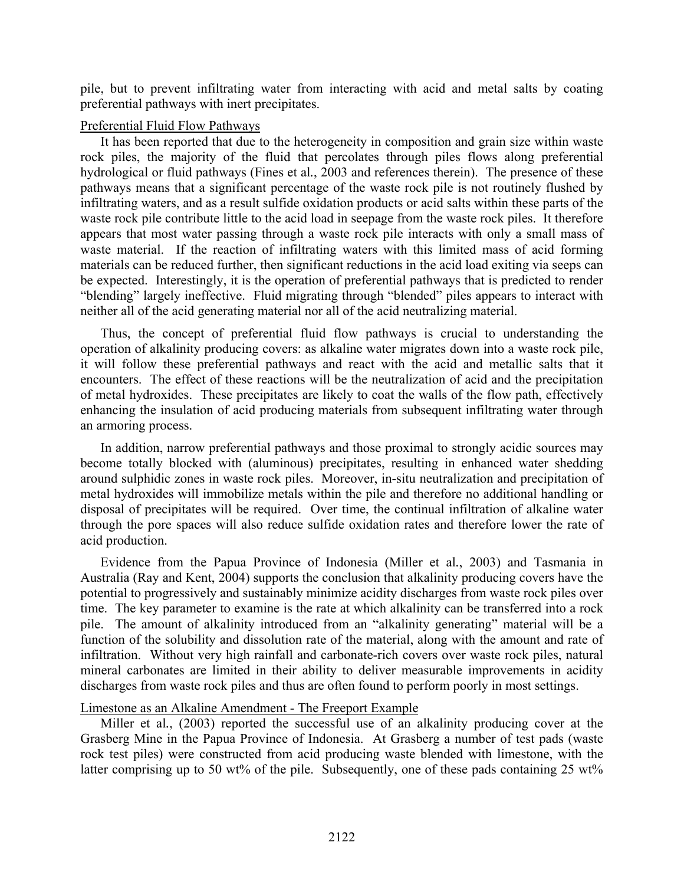pile, but to prevent infiltrating water from interacting with acid and metal salts by coating preferential pathways with inert precipitates.

## Preferential Fluid Flow Pathways

It has been reported that due to the heterogeneity in composition and grain size within waste rock piles, the majority of the fluid that percolates through piles flows along preferential hydrological or fluid pathways (Fines et al*.*, 2003 and references therein). The presence of these pathways means that a significant percentage of the waste rock pile is not routinely flushed by infiltrating waters, and as a result sulfide oxidation products or acid salts within these parts of the waste rock pile contribute little to the acid load in seepage from the waste rock piles. It therefore appears that most water passing through a waste rock pile interacts with only a small mass of waste material. If the reaction of infiltrating waters with this limited mass of acid forming materials can be reduced further, then significant reductions in the acid load exiting via seeps can be expected. Interestingly, it is the operation of preferential pathways that is predicted to render "blending" largely ineffective. Fluid migrating through "blended" piles appears to interact with neither all of the acid generating material nor all of the acid neutralizing material.

Thus, the concept of preferential fluid flow pathways is crucial to understanding the operation of alkalinity producing covers: as alkaline water migrates down into a waste rock pile, it will follow these preferential pathways and react with the acid and metallic salts that it encounters. The effect of these reactions will be the neutralization of acid and the precipitation of metal hydroxides. These precipitates are likely to coat the walls of the flow path, effectively enhancing the insulation of acid producing materials from subsequent infiltrating water through an armoring process.

In addition, narrow preferential pathways and those proximal to strongly acidic sources may become totally blocked with (aluminous) precipitates, resulting in enhanced water shedding around sulphidic zones in waste rock piles. Moreover, in-situ neutralization and precipitation of metal hydroxides will immobilize metals within the pile and therefore no additional handling or disposal of precipitates will be required. Over time, the continual infiltration of alkaline water through the pore spaces will also reduce sulfide oxidation rates and therefore lower the rate of acid production.

Evidence from the Papua Province of Indonesia (Miller et al*.*, 2003) and Tasmania in Australia (Ray and Kent, 2004) supports the conclusion that alkalinity producing covers have the potential to progressively and sustainably minimize acidity discharges from waste rock piles over time. The key parameter to examine is the rate at which alkalinity can be transferred into a rock pile. The amount of alkalinity introduced from an "alkalinity generating" material will be a function of the solubility and dissolution rate of the material, along with the amount and rate of infiltration. Without very high rainfall and carbonate-rich covers over waste rock piles, natural mineral carbonates are limited in their ability to deliver measurable improvements in acidity discharges from waste rock piles and thus are often found to perform poorly in most settings.

# Limestone as an Alkaline Amendment - The Freeport Example

Miller et al*.*, (2003) reported the successful use of an alkalinity producing cover at the Grasberg Mine in the Papua Province of Indonesia. At Grasberg a number of test pads (waste rock test piles) were constructed from acid producing waste blended with limestone, with the latter comprising up to 50 wt% of the pile. Subsequently, one of these pads containing 25 wt%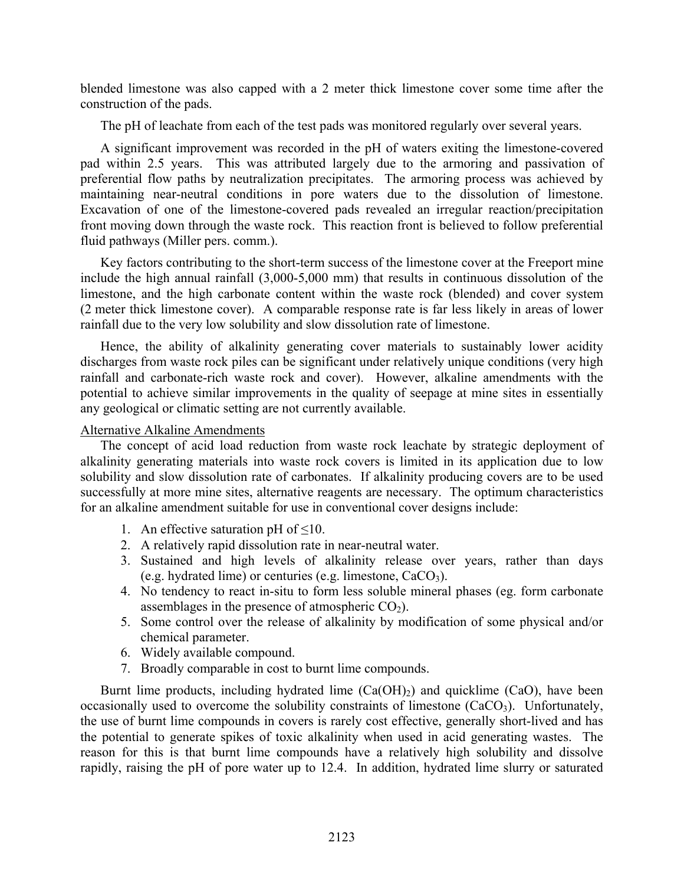blended limestone was also capped with a 2 meter thick limestone cover some time after the construction of the pads.

The pH of leachate from each of the test pads was monitored regularly over several years.

A significant improvement was recorded in the pH of waters exiting the limestone-covered pad within 2.5 years. This was attributed largely due to the armoring and passivation of preferential flow paths by neutralization precipitates. The armoring process was achieved by maintaining near-neutral conditions in pore waters due to the dissolution of limestone. Excavation of one of the limestone-covered pads revealed an irregular reaction/precipitation front moving down through the waste rock. This reaction front is believed to follow preferential fluid pathways (Miller pers. comm.).

Key factors contributing to the short-term success of the limestone cover at the Freeport mine include the high annual rainfall (3,000-5,000 mm) that results in continuous dissolution of the limestone, and the high carbonate content within the waste rock (blended) and cover system (2 meter thick limestone cover). A comparable response rate is far less likely in areas of lower rainfall due to the very low solubility and slow dissolution rate of limestone.

Hence, the ability of alkalinity generating cover materials to sustainably lower acidity discharges from waste rock piles can be significant under relatively unique conditions (very high rainfall and carbonate-rich waste rock and cover). However, alkaline amendments with the potential to achieve similar improvements in the quality of seepage at mine sites in essentially any geological or climatic setting are not currently available.

### Alternative Alkaline Amendments

The concept of acid load reduction from waste rock leachate by strategic deployment of alkalinity generating materials into waste rock covers is limited in its application due to low solubility and slow dissolution rate of carbonates. If alkalinity producing covers are to be used successfully at more mine sites, alternative reagents are necessary. The optimum characteristics for an alkaline amendment suitable for use in conventional cover designs include:

- 1. An effective saturation pH of  $\leq 10$ .
- 2. A relatively rapid dissolution rate in near-neutral water.
- 3. Sustained and high levels of alkalinity release over years, rather than days (e.g. hydrated lime) or centuries (e.g. limestone,  $CaCO<sub>3</sub>$ ).
- 4. No tendency to react in-situ to form less soluble mineral phases (eg. form carbonate assemblages in the presence of atmospheric  $CO<sub>2</sub>$ ).
- 5. Some control over the release of alkalinity by modification of some physical and/or chemical parameter.
- 6. Widely available compound.
- 7. Broadly comparable in cost to burnt lime compounds.

Burnt lime products, including hydrated lime  $(Ca(OH)_2)$  and quicklime  $(CaO)$ , have been occasionally used to overcome the solubility constraints of limestone  $(CaCO<sub>3</sub>)$ . Unfortunately, the use of burnt lime compounds in covers is rarely cost effective, generally short-lived and has the potential to generate spikes of toxic alkalinity when used in acid generating wastes. The reason for this is that burnt lime compounds have a relatively high solubility and dissolve rapidly, raising the pH of pore water up to 12.4. In addition, hydrated lime slurry or saturated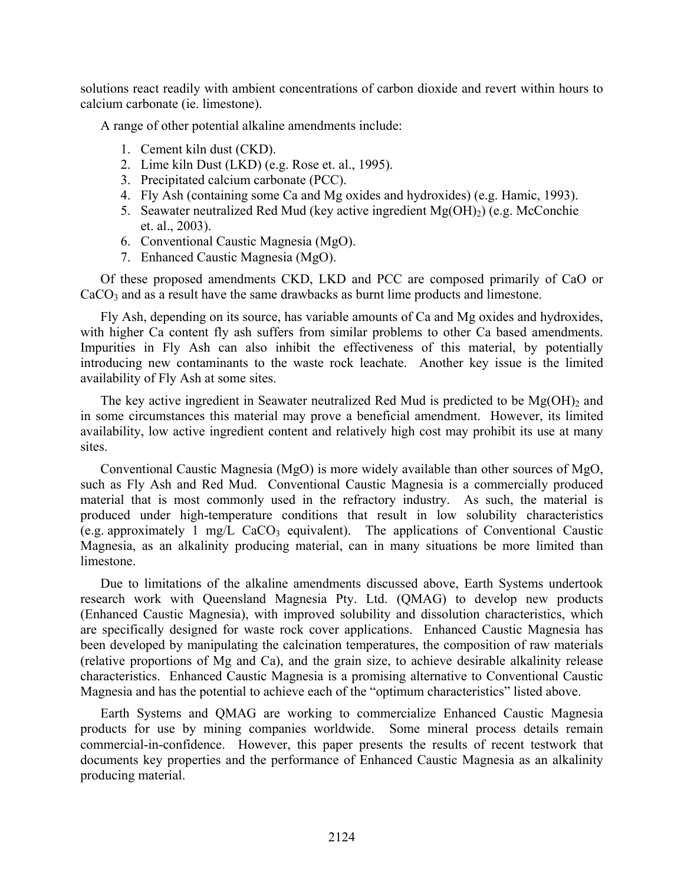solutions react readily with ambient concentrations of carbon dioxide and revert within hours to calcium carbonate (ie. limestone).

A range of other potential alkaline amendments include:

- 1. Cement kiln dust (CKD).
- 2. Lime kiln Dust (LKD) (e.g. Rose et. al., 1995).
- 3. Precipitated calcium carbonate (PCC).
- 4. Fly Ash (containing some Ca and Mg oxides and hydroxides) (e.g. Hamic, 1993).
- 5. Seawater neutralized Red Mud (key active ingredient  $Mg(OH)_2$ ) (e.g. McConchie et. al., 2003).
- 6. Conventional Caustic Magnesia (MgO).
- 7. Enhanced Caustic Magnesia (MgO).

Of these proposed amendments CKD, LKD and PCC are composed primarily of CaO or CaCO<sub>3</sub> and as a result have the same drawbacks as burnt lime products and limestone.

Fly Ash, depending on its source, has variable amounts of Ca and Mg oxides and hydroxides, with higher Ca content fly ash suffers from similar problems to other Ca based amendments. Impurities in Fly Ash can also inhibit the effectiveness of this material, by potentially introducing new contaminants to the waste rock leachate. Another key issue is the limited availability of Fly Ash at some sites.

The key active ingredient in Seawater neutralized Red Mud is predicted to be  $Mg(OH)$ <sub>2</sub> and in some circumstances this material may prove a beneficial amendment. However, its limited availability, low active ingredient content and relatively high cost may prohibit its use at many sites.

Conventional Caustic Magnesia (MgO) is more widely available than other sources of MgO, such as Fly Ash and Red Mud. Conventional Caustic Magnesia is a commercially produced material that is most commonly used in the refractory industry. As such, the material is produced under high-temperature conditions that result in low solubility characteristics  $(e.g. approximately 1 mg/L CaCO<sub>3</sub> equivalent)$ . The applications of Conventional Caustic Magnesia, as an alkalinity producing material, can in many situations be more limited than limestone.

Due to limitations of the alkaline amendments discussed above, Earth Systems undertook research work with Queensland Magnesia Pty. Ltd. (QMAG) to develop new products (Enhanced Caustic Magnesia), with improved solubility and dissolution characteristics, which are specifically designed for waste rock cover applications. Enhanced Caustic Magnesia has been developed by manipulating the calcination temperatures, the composition of raw materials (relative proportions of Mg and Ca), and the grain size, to achieve desirable alkalinity release characteristics. Enhanced Caustic Magnesia is a promising alternative to Conventional Caustic Magnesia and has the potential to achieve each of the "optimum characteristics" listed above.

Earth Systems and QMAG are working to commercialize Enhanced Caustic Magnesia products for use by mining companies worldwide. Some mineral process details remain commercial-in-confidence. However, this paper presents the results of recent testwork that documents key properties and the performance of Enhanced Caustic Magnesia as an alkalinity producing material.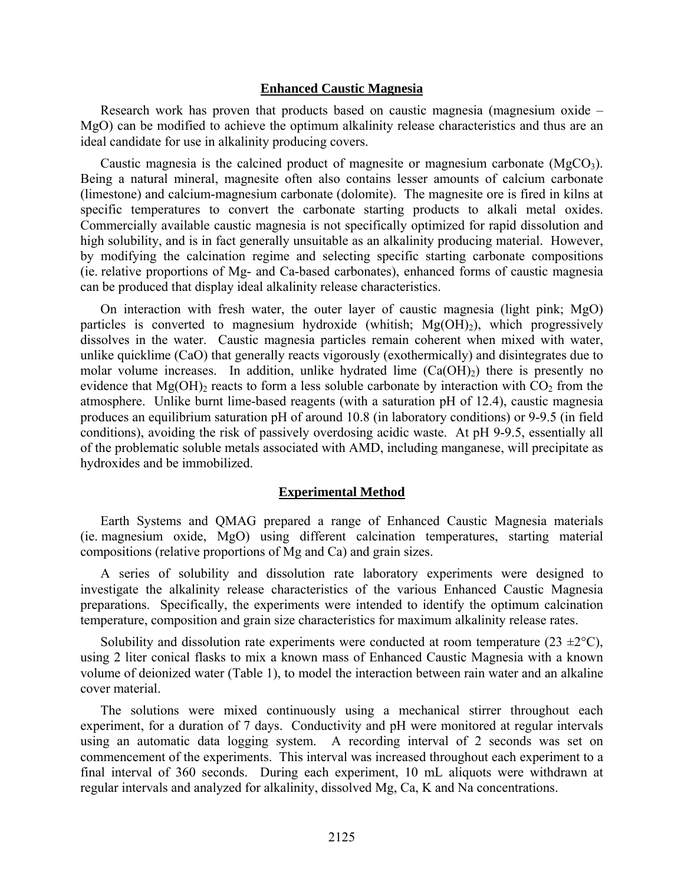#### **Enhanced Caustic Magnesia**

Research work has proven that products based on caustic magnesia (magnesium oxide – MgO) can be modified to achieve the optimum alkalinity release characteristics and thus are an ideal candidate for use in alkalinity producing covers.

Caustic magnesia is the calcined product of magnesite or magnesium carbonate ( $MgCO<sub>3</sub>$ ). Being a natural mineral, magnesite often also contains lesser amounts of calcium carbonate (limestone) and calcium-magnesium carbonate (dolomite). The magnesite ore is fired in kilns at specific temperatures to convert the carbonate starting products to alkali metal oxides. Commercially available caustic magnesia is not specifically optimized for rapid dissolution and high solubility, and is in fact generally unsuitable as an alkalinity producing material. However, by modifying the calcination regime and selecting specific starting carbonate compositions (ie. relative proportions of Mg- and Ca-based carbonates), enhanced forms of caustic magnesia can be produced that display ideal alkalinity release characteristics.

On interaction with fresh water, the outer layer of caustic magnesia (light pink; MgO) particles is converted to magnesium hydroxide (whitish;  $Mg(OH)_2$ ), which progressively dissolves in the water. Caustic magnesia particles remain coherent when mixed with water, unlike quicklime (CaO) that generally reacts vigorously (exothermically) and disintegrates due to molar volume increases. In addition, unlike hydrated lime  $(Ca(OH<sub>2</sub>))$  there is presently no evidence that  $Mg(OH)$ <sub>2</sub> reacts to form a less soluble carbonate by interaction with  $CO_2$  from the atmosphere. Unlike burnt lime-based reagents (with a saturation pH of 12.4), caustic magnesia produces an equilibrium saturation pH of around 10.8 (in laboratory conditions) or 9-9.5 (in field conditions), avoiding the risk of passively overdosing acidic waste. At pH 9-9.5, essentially all of the problematic soluble metals associated with AMD, including manganese, will precipitate as hydroxides and be immobilized.

### **Experimental Method**

Earth Systems and QMAG prepared a range of Enhanced Caustic Magnesia materials (ie. magnesium oxide, MgO) using different calcination temperatures, starting material compositions (relative proportions of Mg and Ca) and grain sizes.

A series of solubility and dissolution rate laboratory experiments were designed to investigate the alkalinity release characteristics of the various Enhanced Caustic Magnesia preparations. Specifically, the experiments were intended to identify the optimum calcination temperature, composition and grain size characteristics for maximum alkalinity release rates.

Solubility and dissolution rate experiments were conducted at room temperature (23  $\pm$ 2 $\degree$ C), using 2 liter conical flasks to mix a known mass of Enhanced Caustic Magnesia with a known volume of deionized water (Table 1), to model the interaction between rain water and an alkaline cover material.

The solutions were mixed continuously using a mechanical stirrer throughout each experiment, for a duration of 7 days. Conductivity and pH were monitored at regular intervals using an automatic data logging system. A recording interval of 2 seconds was set on commencement of the experiments. This interval was increased throughout each experiment to a final interval of 360 seconds. During each experiment, 10 mL aliquots were withdrawn at regular intervals and analyzed for alkalinity, dissolved Mg, Ca, K and Na concentrations.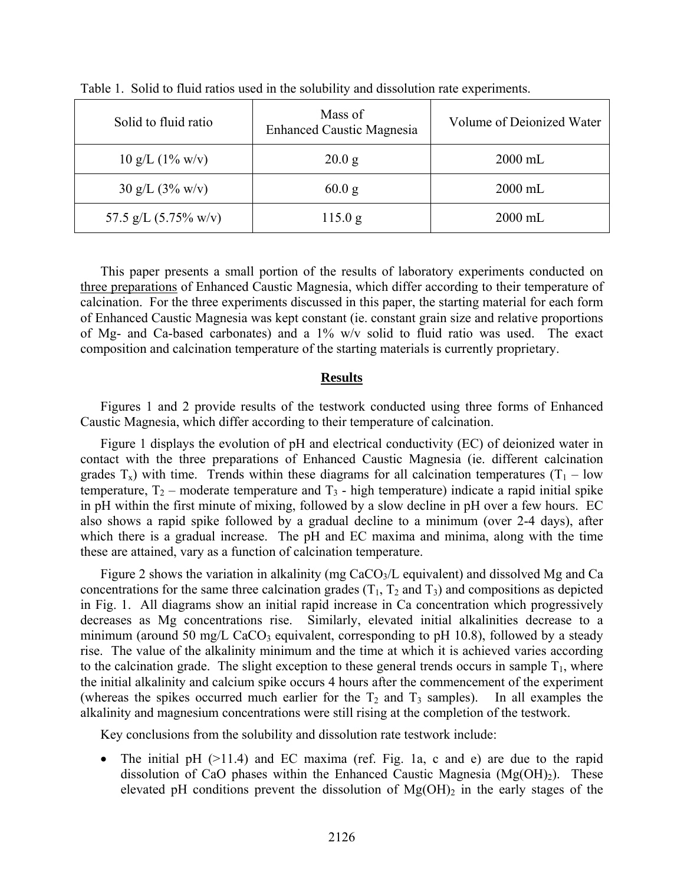| Solid to fluid ratio                 | Mass of<br><b>Enhanced Caustic Magnesia</b> | Volume of Deionized Water |
|--------------------------------------|---------------------------------------------|---------------------------|
| $10 \text{ g/L}$ $(1\% \text{ w/v})$ | 20.0 g                                      | $2000$ mL                 |
| $30 \text{ g/L}$ $(3\% \text{ w/v})$ | 60.0 g                                      | $2000$ mL                 |
| 57.5 g/L $(5.75\% \text{ w/v})$      | 115.0 g                                     | $2000$ mL                 |

Table 1. Solid to fluid ratios used in the solubility and dissolution rate experiments.

This paper presents a small portion of the results of laboratory experiments conducted on three preparations of Enhanced Caustic Magnesia, which differ according to their temperature of calcination. For the three experiments discussed in this paper, the starting material for each form of Enhanced Caustic Magnesia was kept constant (ie. constant grain size and relative proportions of Mg- and Ca-based carbonates) and a 1% w/v solid to fluid ratio was used. The exact composition and calcination temperature of the starting materials is currently proprietary.

### **Results**

Figures 1 and 2 provide results of the testwork conducted using three forms of Enhanced Caustic Magnesia, which differ according to their temperature of calcination.

Figure 1 displays the evolution of pH and electrical conductivity (EC) of deionized water in contact with the three preparations of Enhanced Caustic Magnesia (ie. different calcination grades  $T_x$ ) with time. Trends within these diagrams for all calcination temperatures (T<sub>1</sub> – low temperature,  $T_2$  – moderate temperature and  $T_3$  - high temperature) indicate a rapid initial spike in pH within the first minute of mixing, followed by a slow decline in pH over a few hours. EC also shows a rapid spike followed by a gradual decline to a minimum (over 2-4 days), after which there is a gradual increase. The pH and EC maxima and minima, along with the time these are attained, vary as a function of calcination temperature.

Figure 2 shows the variation in alkalinity (mg  $CaCO<sub>3</sub>/L$  equivalent) and dissolved Mg and Ca concentrations for the same three calcination grades  $(T_1, T_2, T_3)$  and compositions as depicted in Fig. 1. All diagrams show an initial rapid increase in Ca concentration which progressively decreases as Mg concentrations rise. Similarly, elevated initial alkalinities decrease to a minimum (around 50 mg/L CaCO<sub>3</sub> equivalent, corresponding to pH 10.8), followed by a steady rise. The value of the alkalinity minimum and the time at which it is achieved varies according to the calcination grade. The slight exception to these general trends occurs in sample  $T_1$ , where the initial alkalinity and calcium spike occurs 4 hours after the commencement of the experiment (whereas the spikes occurred much earlier for the  $T_2$  and  $T_3$  samples). In all examples the alkalinity and magnesium concentrations were still rising at the completion of the testwork.

Key conclusions from the solubility and dissolution rate testwork include:

• The initial pH (>11.4) and EC maxima (ref. Fig. 1a, c and e) are due to the rapid dissolution of CaO phases within the Enhanced Caustic Magnesia  $(Mg(OH)<sub>2</sub>)$ . These elevated pH conditions prevent the dissolution of  $Mg(OH)_2$  in the early stages of the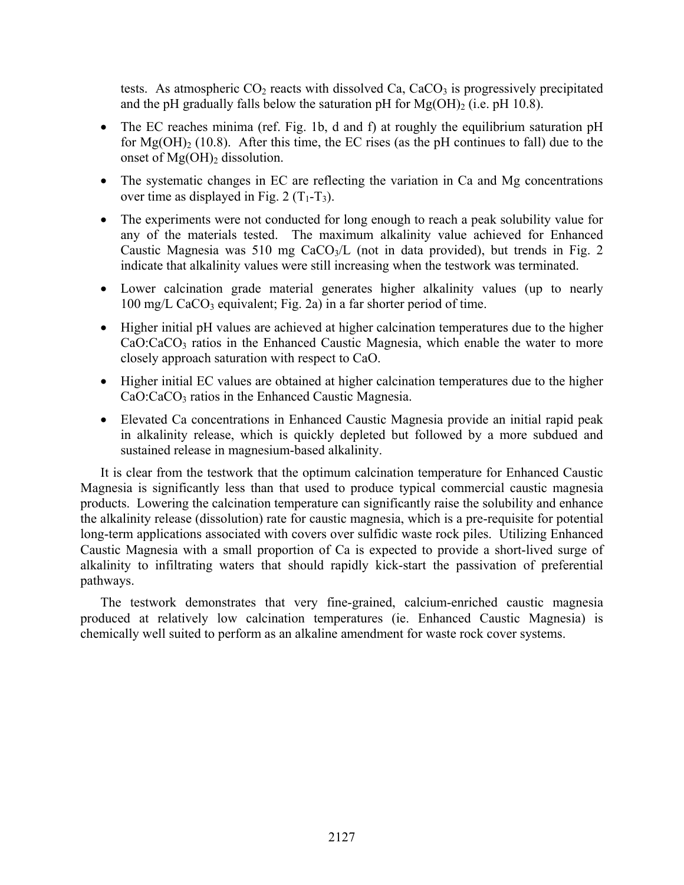tests. As atmospheric  $CO_2$  reacts with dissolved  $Ca, CaCO_3$  is progressively precipitated and the pH gradually falls below the saturation pH for  $Mg(OH)$ <sub>2</sub> (i.e. pH 10.8).

- The EC reaches minima (ref. Fig. 1b, d and f) at roughly the equilibrium saturation pH for  $Mg(OH)$ <sub>2</sub> (10.8). After this time, the EC rises (as the pH continues to fall) due to the onset of  $Mg(OH)$ <sub>2</sub> dissolution.
- The systematic changes in EC are reflecting the variation in Ca and Mg concentrations over time as displayed in Fig. 2  $(T_1-T_3)$ .
- The experiments were not conducted for long enough to reach a peak solubility value for any of the materials tested. The maximum alkalinity value achieved for Enhanced Caustic Magnesia was 510 mg CaCO<sub>3</sub>/L (not in data provided), but trends in Fig. 2 indicate that alkalinity values were still increasing when the testwork was terminated.
- Lower calcination grade material generates higher alkalinity values (up to nearly  $100 \text{ mg/L } CaCO<sub>3</sub>$  equivalent; Fig. 2a) in a far shorter period of time.
- Higher initial pH values are achieved at higher calcination temperatures due to the higher CaO:CaCO<sub>3</sub> ratios in the Enhanced Caustic Magnesia, which enable the water to more closely approach saturation with respect to CaO.
- Higher initial EC values are obtained at higher calcination temperatures due to the higher CaO:CaCO<sub>3</sub> ratios in the Enhanced Caustic Magnesia.
- Elevated Ca concentrations in Enhanced Caustic Magnesia provide an initial rapid peak in alkalinity release, which is quickly depleted but followed by a more subdued and sustained release in magnesium-based alkalinity.

It is clear from the testwork that the optimum calcination temperature for Enhanced Caustic Magnesia is significantly less than that used to produce typical commercial caustic magnesia products. Lowering the calcination temperature can significantly raise the solubility and enhance the alkalinity release (dissolution) rate for caustic magnesia, which is a pre-requisite for potential long-term applications associated with covers over sulfidic waste rock piles. Utilizing Enhanced Caustic Magnesia with a small proportion of Ca is expected to provide a short-lived surge of alkalinity to infiltrating waters that should rapidly kick-start the passivation of preferential pathways.

The testwork demonstrates that very fine-grained, calcium-enriched caustic magnesia produced at relatively low calcination temperatures (ie. Enhanced Caustic Magnesia) is chemically well suited to perform as an alkaline amendment for waste rock cover systems.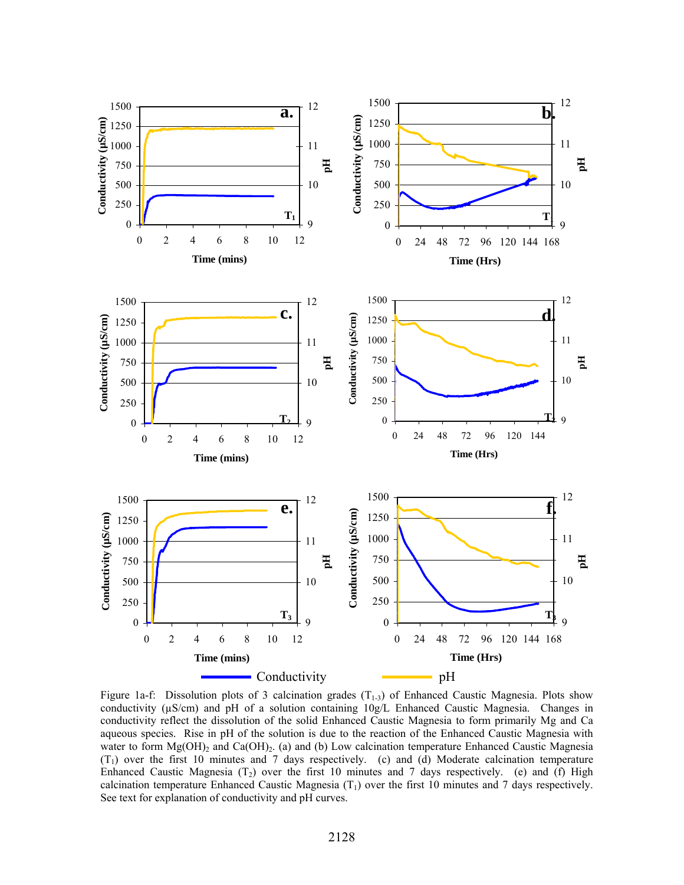

Figure 1a-f: Dissolution plots of 3 calcination grades  $(T_{1-3})$  of Enhanced Caustic Magnesia. Plots show conductivity (µS/cm) and pH of a solution containing 10g/L Enhanced Caustic Magnesia. Changes in conductivity reflect the dissolution of the solid Enhanced Caustic Magnesia to form primarily Mg and Ca aqueous species. Rise in pH of the solution is due to the reaction of the Enhanced Caustic Magnesia with water to form  $Mg(OH)$ <sub>2</sub> and Ca(OH)<sub>2</sub>. (a) and (b) Low calcination temperature Enhanced Caustic Magnesia  $(T_1)$  over the first 10 minutes and 7 days respectively. (c) and (d) Moderate calcination temperature Enhanced Caustic Magnesia  $(T_2)$  over the first 10 minutes and 7 days respectively. (e) and (f) High calcination temperature Enhanced Caustic Magnesia  $(T_1)$  over the first 10 minutes and 7 days respectively. See text for explanation of conductivity and pH curves.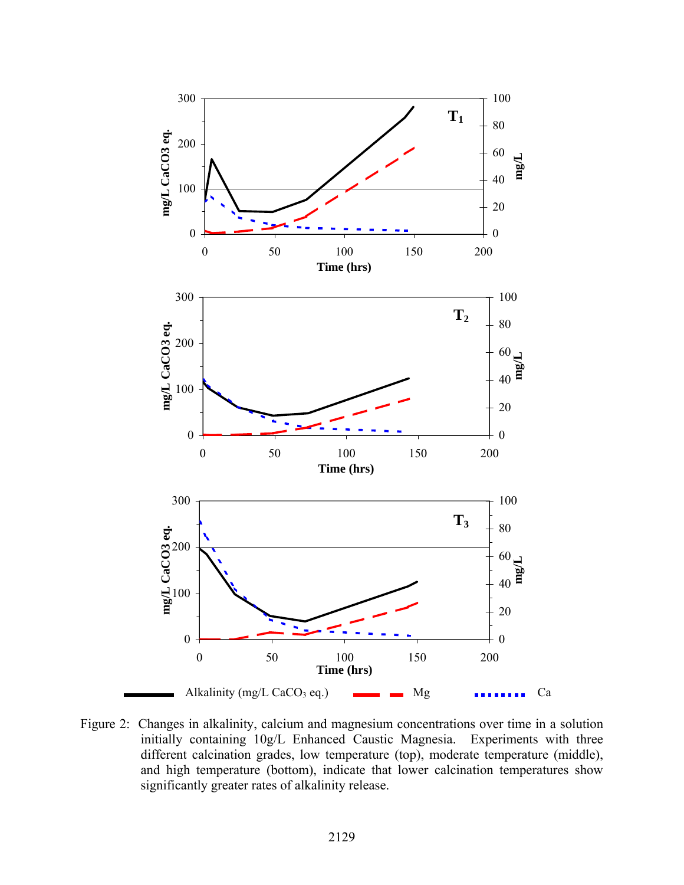

Figure 2: Changes in alkalinity, calcium and magnesium concentrations over time in a solution initially containing 10g/L Enhanced Caustic Magnesia. Experiments with three different calcination grades, low temperature (top), moderate temperature (middle), and high temperature (bottom), indicate that lower calcination temperatures show significantly greater rates of alkalinity release.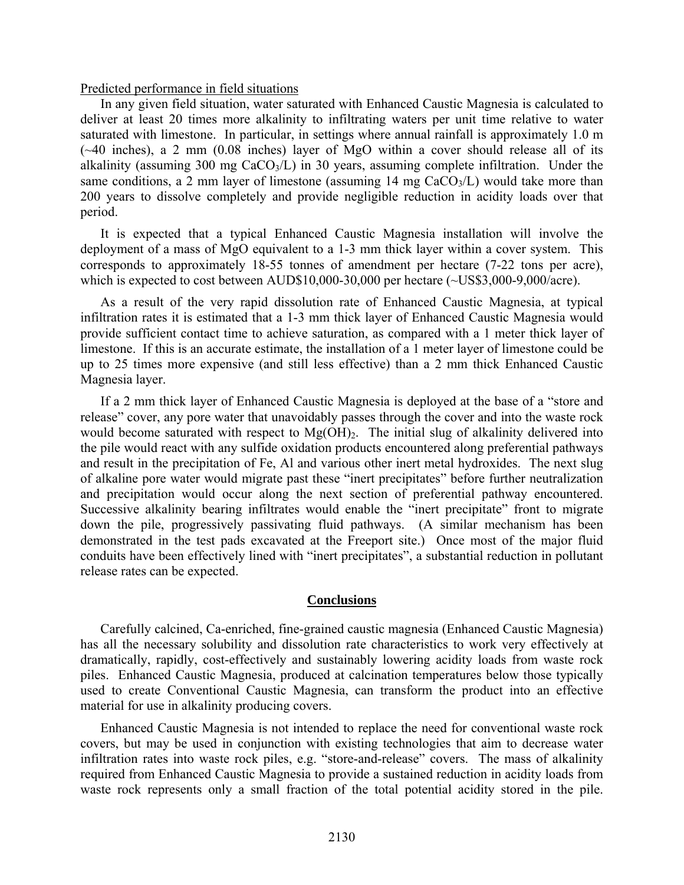### Predicted performance in field situations

In any given field situation, water saturated with Enhanced Caustic Magnesia is calculated to deliver at least 20 times more alkalinity to infiltrating waters per unit time relative to water saturated with limestone. In particular, in settings where annual rainfall is approximately 1.0 m (~40 inches), a 2 mm (0.08 inches) layer of MgO within a cover should release all of its alkalinity (assuming 300 mg  $CaCO<sub>3</sub>/L$ ) in 30 years, assuming complete infiltration. Under the same conditions, a 2 mm layer of limestone (assuming 14 mg  $CaCO<sub>3</sub>/L$ ) would take more than 200 years to dissolve completely and provide negligible reduction in acidity loads over that period.

It is expected that a typical Enhanced Caustic Magnesia installation will involve the deployment of a mass of MgO equivalent to a 1-3 mm thick layer within a cover system. This corresponds to approximately 18-55 tonnes of amendment per hectare (7-22 tons per acre), which is expected to cost between AUD\$10,000-30,000 per hectare (~US\$3,000-9,000/acre).

As a result of the very rapid dissolution rate of Enhanced Caustic Magnesia, at typical infiltration rates it is estimated that a 1-3 mm thick layer of Enhanced Caustic Magnesia would provide sufficient contact time to achieve saturation, as compared with a 1 meter thick layer of limestone. If this is an accurate estimate, the installation of a 1 meter layer of limestone could be up to 25 times more expensive (and still less effective) than a 2 mm thick Enhanced Caustic Magnesia layer.

If a 2 mm thick layer of Enhanced Caustic Magnesia is deployed at the base of a "store and release" cover, any pore water that unavoidably passes through the cover and into the waste rock would become saturated with respect to  $Mg(OH)_{2}$ . The initial slug of alkalinity delivered into the pile would react with any sulfide oxidation products encountered along preferential pathways and result in the precipitation of Fe, Al and various other inert metal hydroxides. The next slug of alkaline pore water would migrate past these "inert precipitates" before further neutralization and precipitation would occur along the next section of preferential pathway encountered. Successive alkalinity bearing infiltrates would enable the "inert precipitate" front to migrate down the pile, progressively passivating fluid pathways. (A similar mechanism has been demonstrated in the test pads excavated at the Freeport site.) Once most of the major fluid conduits have been effectively lined with "inert precipitates", a substantial reduction in pollutant release rates can be expected.

### **Conclusions**

Carefully calcined, Ca-enriched, fine-grained caustic magnesia (Enhanced Caustic Magnesia) has all the necessary solubility and dissolution rate characteristics to work very effectively at dramatically, rapidly, cost-effectively and sustainably lowering acidity loads from waste rock piles. Enhanced Caustic Magnesia, produced at calcination temperatures below those typically used to create Conventional Caustic Magnesia, can transform the product into an effective material for use in alkalinity producing covers.

Enhanced Caustic Magnesia is not intended to replace the need for conventional waste rock covers, but may be used in conjunction with existing technologies that aim to decrease water infiltration rates into waste rock piles, e.g. "store-and-release" covers. The mass of alkalinity required from Enhanced Caustic Magnesia to provide a sustained reduction in acidity loads from waste rock represents only a small fraction of the total potential acidity stored in the pile.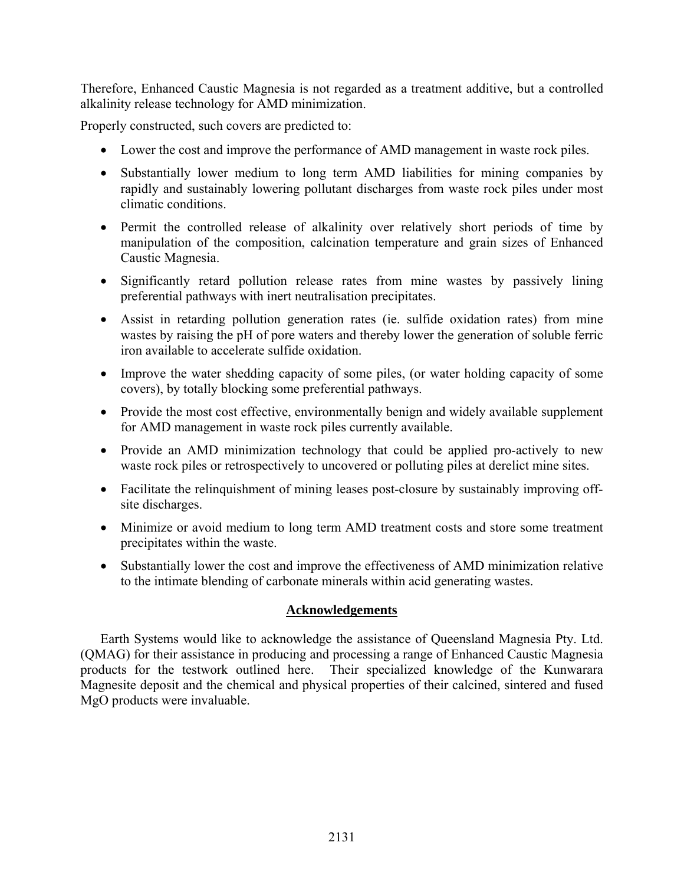Therefore, Enhanced Caustic Magnesia is not regarded as a treatment additive, but a controlled alkalinity release technology for AMD minimization.

Properly constructed, such covers are predicted to:

- Lower the cost and improve the performance of AMD management in waste rock piles.
- Substantially lower medium to long term AMD liabilities for mining companies by rapidly and sustainably lowering pollutant discharges from waste rock piles under most climatic conditions.
- Permit the controlled release of alkalinity over relatively short periods of time by manipulation of the composition, calcination temperature and grain sizes of Enhanced Caustic Magnesia.
- Significantly retard pollution release rates from mine wastes by passively lining preferential pathways with inert neutralisation precipitates.
- Assist in retarding pollution generation rates (ie. sulfide oxidation rates) from mine wastes by raising the pH of pore waters and thereby lower the generation of soluble ferric iron available to accelerate sulfide oxidation.
- Improve the water shedding capacity of some piles, (or water holding capacity of some covers), by totally blocking some preferential pathways.
- Provide the most cost effective, environmentally benign and widely available supplement for AMD management in waste rock piles currently available.
- Provide an AMD minimization technology that could be applied pro-actively to new waste rock piles or retrospectively to uncovered or polluting piles at derelict mine sites.
- Facilitate the relinquishment of mining leases post-closure by sustainably improving offsite discharges.
- Minimize or avoid medium to long term AMD treatment costs and store some treatment precipitates within the waste.
- Substantially lower the cost and improve the effectiveness of AMD minimization relative to the intimate blending of carbonate minerals within acid generating wastes.

# **Acknowledgements**

Earth Systems would like to acknowledge the assistance of Queensland Magnesia Pty. Ltd. (QMAG) for their assistance in producing and processing a range of Enhanced Caustic Magnesia products for the testwork outlined here. Their specialized knowledge of the Kunwarara Magnesite deposit and the chemical and physical properties of their calcined, sintered and fused MgO products were invaluable.